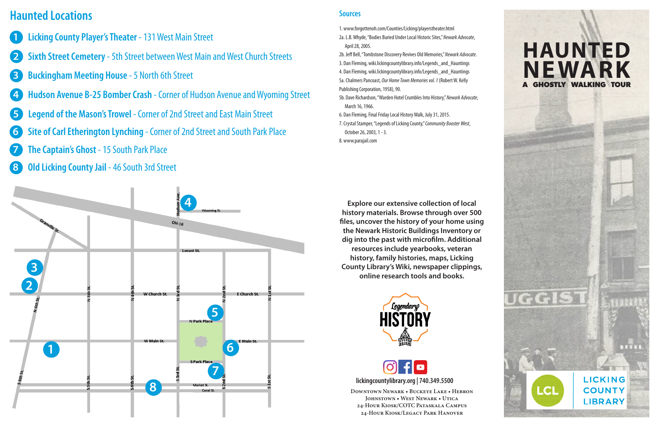**Downtown Newark • Buckeye Lake • Hebron Johnstown • West Newark • Utica 24-Hour Kiosk/COTC Pataskala Campus 24-Hour Kiosk/Legacy Park Hanover**

# **HAUNTED NEWARK GHOSTLY WALKING TOUR**



uggis

LCI

**lickingcountylibrary.org | 740.349.5500**

**Explore our extensive collection of local history materials. Browse through over 500 files, uncover the history of your home using the Newark Historic Buildings Inventory or dig into the past with microfilm. Additional resources include yearbooks, veteran history, family histories, maps, Licking County Library's Wiki, newspaper clippings, online research tools and books.**





# **Haunted Locations**



**Sources**

- 1. www.forgottenoh.com/Counties/Licking/playerstheater.html
- 2a. L.B. Whyde, "Bodies Buried Under Local Historic Sites," *Newark Advocate*, April 28, 2005.
- 2b. Jeff Bell, "Tombstone Discovery Revives Old Memories," *Newark Advocate*.
- 3. Dan Fleming, wiki.lickingcountylibrary.info/Legends\_and\_Hauntings
- 4. Dan Fleming, wiki.lickingcountylibrary.info/Legends\_and\_Hauntings
- 5a. Chalmers Pancoast, *Our Home Town Memories vol. 1* (Robert W. Kelly Publishing Corporation, 1958), 90.
- 5b. Dave Richardson, "Warden Hotel Crumbles Into History," *Newark Advocate*, March 16, 1966.
- 6. Dan Fleming, Final Friday Local History Walk, July 31, 2015.
- 7. Crystal Stamper, "Legends of Licking County," *Community Booster West*, October 26, 2003, 1 - 3.
- 8. www.parajail.com
- **1 Licking County Player's Theater** - 131 West Main Street
- **2 Sixth Street Cemetery** - 5th Street between West Main and West Church Streets
- **3 Buckingham Meeting House** 5 North 6th Street
- **4 Hudson Avenue B-25 Bomber Crash** Corner of Hudson Avenue and Wyoming Street
- **5 Legend of the Mason's Trowel** Corner of 2nd Street and East Main Street
- **6 Site of Carl Etherington Lynching** Corner of 2nd Street and South Park Place
- **7 The Captain's Ghost** 15 South Park Place
- **8 Old Licking County Jail** 46 South 3rd Street